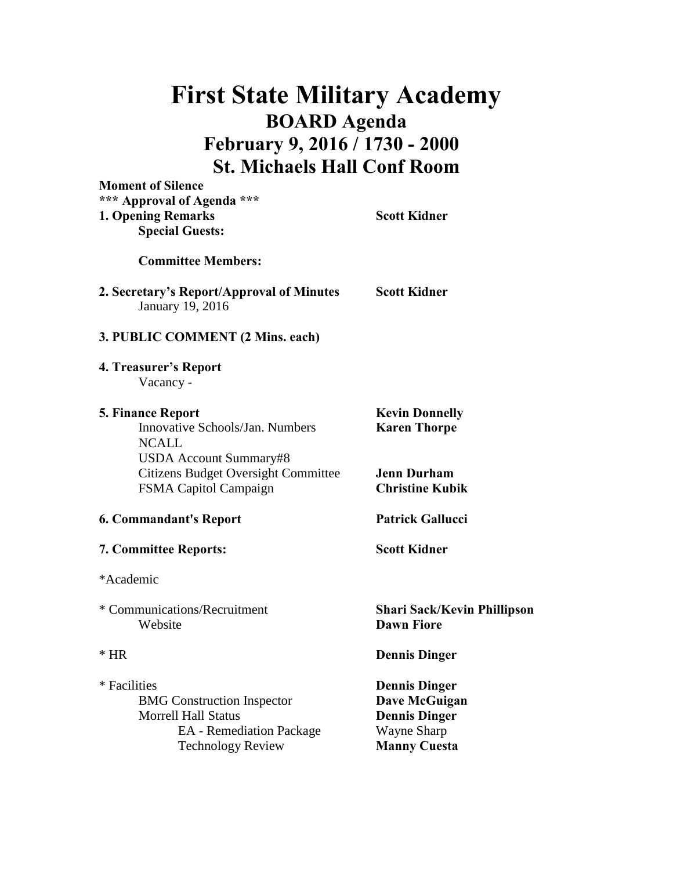## **First State Military Academy BOARD Agenda February 9, 2016 / 1730 - 2000 St. Michaels Hall Conf Room**

| <b>Moment of Silence</b>                                      |                                    |
|---------------------------------------------------------------|------------------------------------|
| *** Approval of Agenda ***                                    |                                    |
| <b>1. Opening Remarks</b>                                     | <b>Scott Kidner</b>                |
| <b>Special Guests:</b>                                        |                                    |
| <b>Committee Members:</b>                                     |                                    |
| 2. Secretary's Report/Approval of Minutes<br>January 19, 2016 | <b>Scott Kidner</b>                |
| 3. PUBLIC COMMENT (2 Mins. each)                              |                                    |
| 4. Treasurer's Report                                         |                                    |
| Vacancy -                                                     |                                    |
| <b>5. Finance Report</b>                                      | <b>Kevin Donnelly</b>              |
| Innovative Schools/Jan. Numbers                               | <b>Karen Thorpe</b>                |
| <b>NCALL</b>                                                  |                                    |
| <b>USDA Account Summary#8</b>                                 |                                    |
| <b>Citizens Budget Oversight Committee</b>                    | <b>Jenn Durham</b>                 |
| FSMA Capitol Campaign                                         | <b>Christine Kubik</b>             |
| 6. Commandant's Report                                        | <b>Patrick Gallucci</b>            |
| <b>7. Committee Reports:</b>                                  | <b>Scott Kidner</b>                |
| *Academic                                                     |                                    |
| * Communications/Recruitment                                  | <b>Shari Sack/Kevin Phillipson</b> |
| Website                                                       | <b>Dawn Fiore</b>                  |
| $*$ HR                                                        | <b>Dennis Dinger</b>               |
| * Facilities                                                  | <b>Dennis Dinger</b>               |
| <b>BMG</b> Construction Inspector                             | Dave McGuigan                      |
| <b>Morrell Hall Status</b>                                    | <b>Dennis Dinger</b>               |
| <b>EA</b> - Remediation Package                               | Wayne Sharp                        |
| <b>Technology Review</b>                                      | <b>Manny Cuesta</b>                |